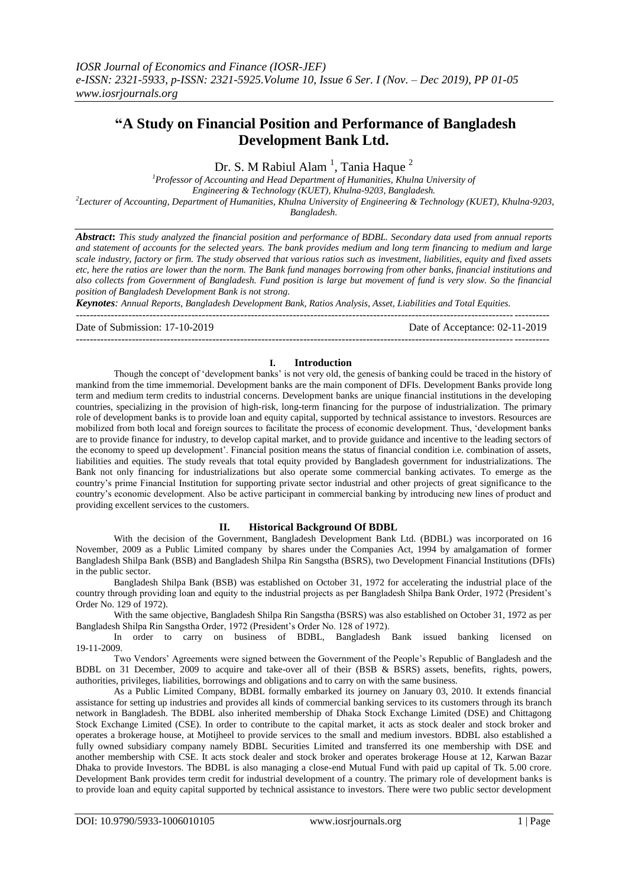# **"A Study on Financial Position and Performance of Bangladesh Development Bank Ltd.**

Dr. S. M Rabiul Alam<sup>1</sup>, Tania Haque<sup>2</sup>

*<sup>1</sup>Professor of Accounting and Head Department of Humanities, Khulna University of Engineering & Technology (KUET), Khulna-9203, Bangladesh. 2 Lecturer of Accounting, Department of Humanities, Khulna University of Engineering & Technology (KUET), Khulna-9203, Bangladesh.*

*Abstract***:** *This study analyzed the financial position and performance of BDBL. Secondary data used from annual reports and statement of accounts for the selected years. The bank provides medium and long term financing to medium and large scale industry, factory or firm. The study observed that various ratios such as investment, liabilities, equity and fixed assets etc, here the ratios are lower than the norm. The Bank fund manages borrowing from other banks, financial institutions and also collects from Government of Bangladesh. Fund position is large but movement of fund is very slow. So the financial position of Bangladesh Development Bank is not strong.*

*Keynotes: Annual Reports, Bangladesh Development Bank, Ratios Analysis, Asset, Liabilities and Total Equities.* ---------------------------------------------------------------------------------------------------------------------------------------

Date of Submission: 17-10-2019 Date of Acceptance: 02-11-2019

### **I. Introduction**

---------------------------------------------------------------------------------------------------------------------------------------

Though the concept of "development banks" is not very old, the genesis of banking could be traced in the history of mankind from the time immemorial. Development banks are the main component of DFIs. Development Banks provide long term and medium term credits to industrial concerns. Development banks are unique financial institutions in the developing countries, specializing in the provision of high-risk, long-term financing for the purpose of industrialization. The primary role of development banks is to provide loan and equity capital, supported by technical assistance to investors. Resources are mobilized from both local and foreign sources to facilitate the process of economic development. Thus, "development banks are to provide finance for industry, to develop capital market, and to provide guidance and incentive to the leading sectors of the economy to speed up development". Financial position means the status of financial condition i.e. combination of assets, liabilities and equities. The study reveals that total equity provided by Bangladesh government for industrializations. The Bank not only financing for industrializations but also operate some commercial banking activates. To emerge as the country"s prime Financial Institution for supporting private sector industrial and other projects of great significance to the country"s economic development. Also be active participant in commercial banking by introducing new lines of product and providing excellent services to the customers.

# **II. Historical Background Of BDBL**

With the decision of the Government, Bangladesh Development Bank Ltd. (BDBL) was incorporated on 16 November, 2009 as a Public Limited company by shares under the Companies Act, 1994 by amalgamation of former Bangladesh Shilpa Bank (BSB) and Bangladesh Shilpa Rin Sangstha (BSRS), two Development Financial Institutions (DFIs) in the public sector.

Bangladesh Shilpa Bank (BSB) was established on October 31, 1972 for accelerating the industrial place of the country through providing loan and equity to the industrial projects as per Bangladesh Shilpa Bank Order, 1972 (President"s Order No. 129 of 1972).

With the same objective, Bangladesh Shilpa Rin Sangstha (BSRS) was also established on October 31, 1972 as per Bangladesh Shilpa Rin Sangstha Order, 1972 (President"s Order No. 128 of 1972).

In order to carry on business of BDBL, Bangladesh Bank issued banking licensed on 19-11-2009.

Two Vendors" Agreements were signed between the Government of the People"s Republic of Bangladesh and the BDBL on 31 December, 2009 to acquire and take-over all of their (BSB & BSRS) assets, benefits, rights, powers, authorities, privileges, liabilities, borrowings and obligations and to carry on with the same business.

As a Public Limited Company, BDBL formally embarked its journey on January 03, 2010. It extends financial assistance for setting up industries and provides all kinds of commercial banking services to its customers through its branch network in Bangladesh. The BDBL also inherited membership of Dhaka Stock Exchange Limited (DSE) and Chittagong Stock Exchange Limited (CSE). In order to contribute to the capital market, it acts as stock dealer and stock broker and operates a brokerage house, at Motijheel to provide services to the small and medium investors. BDBL also established a fully owned subsidiary company namely BDBL Securities Limited and transferred its one membership with DSE and another membership with CSE. It acts stock dealer and stock broker and operates brokerage House at 12, Karwan Bazar Dhaka to provide Investors. The BDBL is also managing a close-end Mutual Fund with paid up capital of Tk. 5.00 crore. Development Bank provides term credit for industrial development of a country. The primary role of development banks is to provide loan and equity capital supported by technical assistance to investors. There were two public sector development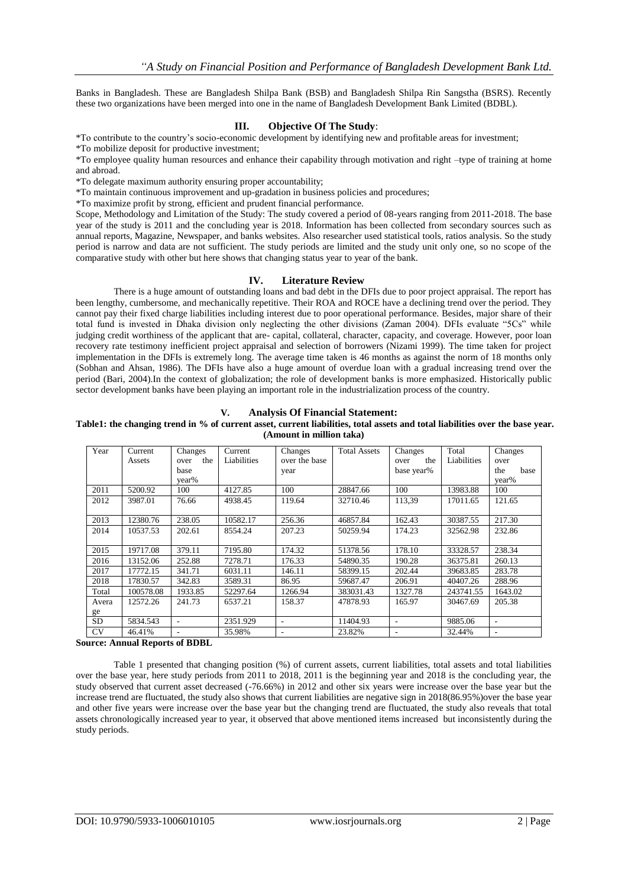Banks in Bangladesh. These are Bangladesh Shilpa Bank (BSB) and Bangladesh Shilpa Rin Sangstha (BSRS). Recently these two organizations have been merged into one in the name of Bangladesh Development Bank Limited (BDBL).

## **III. Objective Of The Study**:

\*To contribute to the country"s socio-economic development by identifying new and profitable areas for investment; \*To mobilize deposit for productive investment;

\*To employee quality human resources and enhance their capability through motivation and right –type of training at home and abroad.

\*To delegate maximum authority ensuring proper accountability;

\*To maintain continuous improvement and up-gradation in business policies and procedures;

\*To maximize profit by strong, efficient and prudent financial performance.

Scope, Methodology and Limitation of the Study: The study covered a period of 08-years ranging from 2011-2018. The base year of the study is 2011 and the concluding year is 2018. Information has been collected from secondary sources such as annual reports, Magazine, Newspaper, and banks websites. Also researcher used statistical tools, ratios analysis. So the study period is narrow and data are not sufficient. The study periods are limited and the study unit only one, so no scope of the comparative study with other but here shows that changing status year to year of the bank.

#### **IV. Literature Review**

There is a huge amount of outstanding loans and bad debt in the DFIs due to poor project appraisal. The report has been lengthy, cumbersome, and mechanically repetitive. Their ROA and ROCE have a declining trend over the period. They cannot pay their fixed charge liabilities including interest due to poor operational performance. Besides, major share of their total fund is invested in Dhaka division only neglecting the other divisions (Zaman 2004). DFIs evaluate "5Cs" while judging credit worthiness of the applicant that are- capital, collateral, character, capacity, and coverage. However, poor loan recovery rate testimony inefficient project appraisal and selection of borrowers (Nizami 1999). The time taken for project implementation in the DFIs is extremely long. The average time taken is 46 months as against the norm of 18 months only (Sobhan and Ahsan, 1986). The DFIs have also a huge amount of overdue loan with a gradual increasing trend over the period (Bari, 2004).In the context of globalization; the role of development banks is more emphasized. Historically public sector development banks have been playing an important role in the industrialization process of the country.

## **V. Analysis Of Financial Statement:**

#### **Table1: the changing trend in % of current asset, current liabilities, total assets and total liabilities over the base year. (Amount in million taka)**

| Year      | Current   | Changes     | Current     | Changes       | <b>Total Assets</b> | Changes                  | Total       | Changes     |
|-----------|-----------|-------------|-------------|---------------|---------------------|--------------------------|-------------|-------------|
|           | Assets    | the<br>over | Liabilities | over the base |                     | the<br>over              | Liabilities | over        |
|           |           | base        |             | year          |                     | base year%               |             | the<br>base |
|           |           | year%       |             |               |                     |                          |             | year%       |
| 2011      | 5200.92   | 100         | 4127.85     | 100           | 28847.66            | 100                      | 13983.88    | 100         |
| 2012      | 3987.01   | 76.66       | 4938.45     | 119.64        | 32710.46            | 113,39                   | 17011.65    | 121.65      |
|           |           |             |             |               |                     |                          |             |             |
| 2013      | 12380.76  | 238.05      | 10582.17    | 256.36        | 46857.84            | 162.43                   | 30387.55    | 217.30      |
| 2014      | 10537.53  | 202.61      | 8554.24     | 207.23        | 50259.94            | 174.23                   | 32562.98    | 232.86      |
|           |           |             |             |               |                     |                          |             |             |
| 2015      | 19717.08  | 379.11      | 7195.80     | 174.32        | 51378.56            | 178.10                   | 33328.57    | 238.34      |
| 2016      | 13152.06  | 252.88      | 7278.71     | 176.33        | 54890.35            | 190.28                   | 36375.81    | 260.13      |
| 2017      | 17772.15  | 341.71      | 6031.11     | 146.11        | 58399.15            | 202.44                   | 39683.85    | 283.78      |
| 2018      | 17830.57  | 342.83      | 3589.31     | 86.95         | 59687.47            | 206.91                   | 40407.26    | 288.96      |
| Total     | 100578.08 | 1933.85     | 52297.64    | 1266.94       | 383031.43           | 1327.78                  | 243741.55   | 1643.02     |
| Avera     | 12572.26  | 241.73      | 6537.21     | 158.37        | 47878.93            | 165.97                   | 30467.69    | 205.38      |
| ge        |           |             |             |               |                     |                          |             |             |
| <b>SD</b> | 5834.543  | ۰           | 2351.929    | ٠             | 11404.93            | $\overline{\phantom{a}}$ | 9885.06     | ٠           |
| <b>CV</b> | 46.41%    | ۰           | 35.98%      | ٠             | 23.82%              | ٠                        | 32.44%      | ۰           |

**Source: Annual Reports of BDBL**

Table 1 presented that changing position (%) of current assets, current liabilities, total assets and total liabilities over the base year, here study periods from 2011 to 2018, 2011 is the beginning year and 2018 is the concluding year, the study observed that current asset decreased (-76.66%) in 2012 and other six years were increase over the base year but the increase trend are fluctuated, the study also shows that current liabilities are negative sign in 2018(86.95%)over the base year and other five years were increase over the base year but the changing trend are fluctuated, the study also reveals that total assets chronologically increased year to year, it observed that above mentioned items increased but inconsistently during the study periods.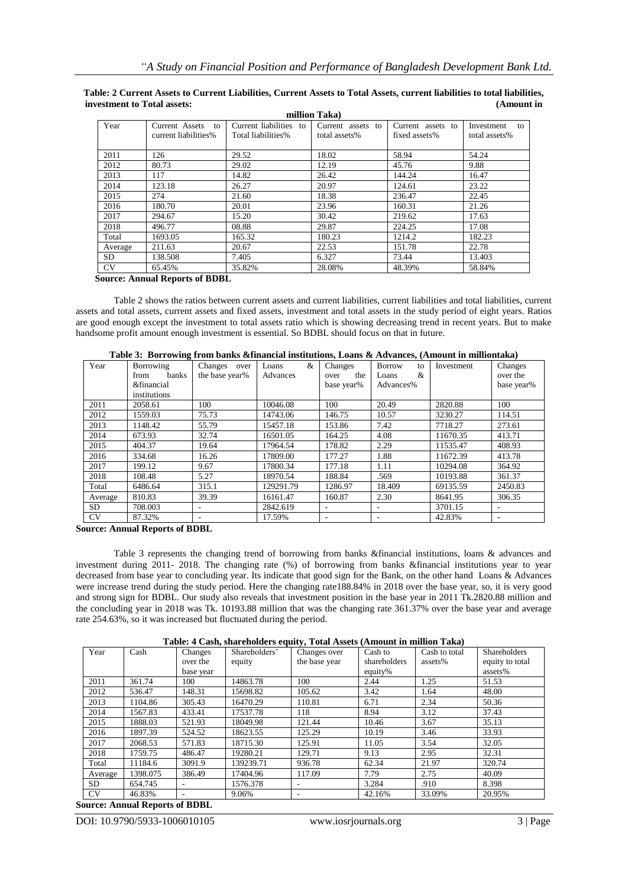|           |                      |                        | пшпон такал       |                   |                  |
|-----------|----------------------|------------------------|-------------------|-------------------|------------------|
| Year      | Current Assets to    | Current liabilities to | Current assets to | Current assets to | Investment<br>to |
|           | current liabilities% | Total liabilities%     | total assets%     | fixed assets%     | total assets%    |
|           |                      |                        |                   |                   |                  |
| 2011      | 126                  | 29.52                  | 18.02             | 58.94             | 54.24            |
| 2012      | 80.73                | 29.02                  | 12.19             | 45.76             | 9.88             |
| 2013      | 117                  | 14.82                  | 26.42             | 144.24            | 16.47            |
| 2014      | 123.18               | 26.27                  | 20.97             | 124.61            | 23.22            |
| 2015      | 274                  | 21.60                  | 18.38             | 236.47            | 22.45            |
| 2016      | 180.70               | 20.01                  | 23.96             | 160.31            | 21.26            |
| 2017      | 294.67               | 15.20                  | 30.42             | 219.62            | 17.63            |
| 2018      | 496.77               | 08.88                  | 29.87             | 224.25            | 17.08            |
| Total     | 1693.05              | 165.32                 | 180.23            | 1214.2            | 182.23           |
| Average   | 211.63               | 20.67                  | 22.53             | 151.78            | 22.78            |
| SD.       | 138.508              | 7.405                  | 6.327             | 73.44             | 13.403           |
| <b>CV</b> | 65.45%               | 35.82%                 | 28.08%            | 48.39%            | 58.84%           |

**Table: 2 Current Assets to Current Liabilities, Current Assets to Total Assets, current liabilities to total liabilities, investment to Total assets: (Amount in million Taka)**

 **Source: Annual Reports of BDBL**

Table 2 shows the ratios between current assets and current liabilities, current liabilities and total liabilities, current assets and total assets, current assets and fixed assets, investment and total assets in the study period of eight years. Ratios are good enough except the investment to total assets ratio which is showing decreasing trend in recent years. But to make handsome profit amount enough investment is essential. So BDBL should focus on that in future.

| Year      | $\overline{ }$<br>Borrowing | Changes over   | &<br>Loans | Changes                  | <b>Borrow</b><br>to | Investment | Changes    |
|-----------|-----------------------------|----------------|------------|--------------------------|---------------------|------------|------------|
|           | banks<br>from               | the base year% | Advances   | the<br>over              | Loans<br>&          |            | over the   |
|           | &financial                  |                |            | base year%               | Advances%           |            | base year% |
|           | institutions                |                |            |                          |                     |            |            |
| 2011      | 2058.61                     | 100            | 10046.08   | 100                      | 20.49               | 2820.88    | 100        |
| 2012      | 1559.03                     | 75.73          | 14743.06   | 146.75                   | 10.57               | 3230.27    | 114.51     |
| 2013      | 1148.42                     | 55.79          | 15457.18   | 153.86                   | 7.42                | 7718.27    | 273.61     |
| 2014      | 673.93                      | 32.74          | 16501.05   | 164.25                   | 4.08                | 11670.35   | 413.71     |
| 2015      | 404.37                      | 19.64          | 17964.54   | 178.82                   | 2.29                | 11535.47   | 408.93     |
| 2016      | 334.68                      | 16.26          | 17809.00   | 177.27                   | 1.88                | 11672.39   | 413.78     |
| 2017      | 199.12                      | 9.67           | 17800.34   | 177.18                   | 1.11                | 10294.08   | 364.92     |
| 2018      | 108.48                      | 5.27           | 18970.54   | 188.84                   | .569                | 10193.88   | 361.37     |
| Total     | 6486.64                     | 315.1          | 129291.79  | 1286.97                  | 18.409              | 69135.59   | 2450.83    |
| Average   | 810.83                      | 39.39          | 16161.47   | 160.87                   | 2.30                | 8641.95    | 306.35     |
| SD.       | 708.003                     |                | 2842.619   |                          |                     | 3701.15    |            |
| <b>CV</b> | 87.32%                      | ۰              | 17.59%     | $\overline{\phantom{a}}$ | ٠                   | 42.83%     | -          |

|  | Table 3: Borrowing from banks & financial institutions, Loans & Advances, (Amount in milliontaka) |
|--|---------------------------------------------------------------------------------------------------|
|  |                                                                                                   |

**Source: Annual Reports of BDBL**

Table 3 represents the changing trend of borrowing from banks &financial institutions, loans & advances and investment during 2011- 2018. The changing rate (%) of borrowing from banks &financial institutions year to year decreased from base year to concluding year. Its indicate that good sign for the Bank, on the other hand Loans & Advances were increase trend during the study period. Here the changing rate188.84% in 2018 over the base year, so, it is very good and strong sign for BDBL. Our study also reveals that investment position in the base year in 2011 Tk.2820.88 million and the concluding year in 2018 was Tk. 10193.88 million that was the changing rate 361.37% over the base year and average rate 254.63%, so it was increased but fluctuated during the period.

|  |  |  |  |  | Table: 4 Cash, shareholders equity, Total Assets (Amount in million Taka) |  |
|--|--|--|--|--|---------------------------------------------------------------------------|--|
|--|--|--|--|--|---------------------------------------------------------------------------|--|

| Year      | Cash     | Changes   | Shareholders' | Changes over  | Cash to      | Cash to total | <b>Shareholders</b> |
|-----------|----------|-----------|---------------|---------------|--------------|---------------|---------------------|
|           |          | over the  | equity        | the base year | shareholders | assets%       | equity to total     |
|           |          | base year |               |               | equity%      |               | assets%             |
| 2011      | 361.74   | 100       | 14863.78      | 100           | 2.44         | 1.25          | 51.53               |
| 2012      | 536.47   | 148.31    | 15698.82      | 105.62        | 3.42         | 1.64          | 48.00               |
| 2013      | 1104.86  | 305.43    | 16470.29      | 110.81        | 6.71         | 2.34          | 50.36               |
| 2014      | 1567.83  | 433.41    | 17537.78      | 118           | 8.94         | 3.12          | 37.43               |
| 2015      | 1888.03  | 521.93    | 18049.98      | 121.44        | 10.46        | 3.67          | 35.13               |
| 2016      | 1897.39  | 524.52    | 18623.55      | 125.29        | 10.19        | 3.46          | 33.93               |
| 2017      | 2068.53  | 571.83    | 18715.30      | 125.91        | 11.05        | 3.54          | 32.05               |
| 2018      | 1759.75  | 486.47    | 19280.21      | 129.71        | 9.13         | 2.95          | 32.31               |
| Total     | 11184.6  | 3091.9    | 139239.71     | 936.78        | 62.34        | 21.97         | 320.74              |
| Average   | 1398.075 | 386.49    | 17404.96      | 117.09        | 7.79         | 2.75          | 40.09               |
| SD.       | 654.745  | ٠         | 1576.378      |               | 3.284        | .910          | 8.398               |
| <b>CV</b> | 46.83%   | ٠         | 9.06%         |               | 42.16%       | 33.09%        | 20.95%              |

**Source: Annual Reports of BDBL**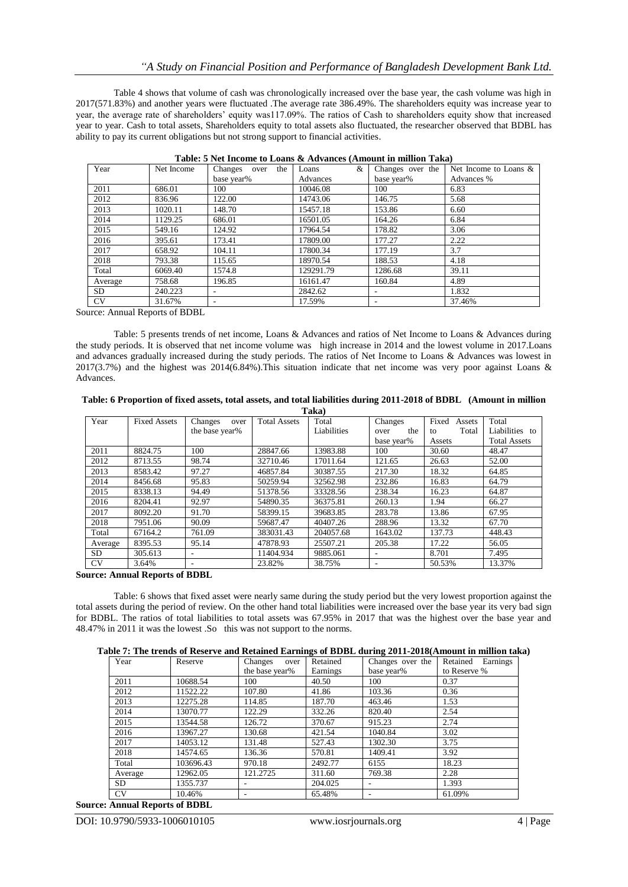Table 4 shows that volume of cash was chronologically increased over the base year, the cash volume was high in 2017(571.83%) and another years were fluctuated .The average rate 386.49%. The shareholders equity was increase year to year, the average rate of shareholders" equity was117.09%. The ratios of Cash to shareholders equity show that increased year to year. Cash to total assets, Shareholders equity to total assets also fluctuated, the researcher observed that BDBL has ability to pay its current obligations but not strong support to financial activities.

| Year      | Net Income | Changes over<br>the | &<br>Loans | Changes over the | Net Income to Loans & |
|-----------|------------|---------------------|------------|------------------|-----------------------|
|           |            | base year%          | Advances   | base year%       | Advances %            |
| 2011      | 686.01     | 100                 | 10046.08   | 100              | 6.83                  |
| 2012      | 836.96     | 122.00              | 14743.06   | 146.75           | 5.68                  |
| 2013      | 1020.11    | 148.70              | 15457.18   | 153.86           | 6.60                  |
| 2014      | 1129.25    | 686.01              | 16501.05   | 164.26           | 6.84                  |
| 2015      | 549.16     | 124.92              | 17964.54   | 178.82           | 3.06                  |
| 2016      | 395.61     | 173.41              | 17809.00   | 177.27           | 2.22                  |
| 2017      | 658.92     | 104.11              | 17800.34   | 177.19           | 3.7                   |
| 2018      | 793.38     | 115.65              | 18970.54   | 188.53           | 4.18                  |
| Total     | 6069.40    | 1574.8              | 129291.79  | 1286.68          | 39.11                 |
| Average   | 758.68     | 196.85              | 16161.47   | 160.84           | 4.89                  |
| SD        | 240.223    |                     | 2842.62    |                  | 1.832                 |
| <b>CV</b> | 31.67%     |                     | 17.59%     |                  | 37.46%                |

| Table: 5 Net Income to Loans & Advances (Amount in million Taka) |  |  |
|------------------------------------------------------------------|--|--|
|                                                                  |  |  |

Source: Annual Reports of BDBL

Table: 5 presents trends of net income, Loans & Advances and ratios of Net Income to Loans & Advances during the study periods. It is observed that net income volume was high increase in 2014 and the lowest volume in 2017.Loans and advances gradually increased during the study periods. The ratios of Net Income to Loans & Advances was lowest in 2017(3.7%) and the highest was 2014(6.84%).This situation indicate that net income was very poor against Loans & Advances.

| Table: 6 Proportion of fixed assets, total assets, and total liabilities during 2011-2018 of BDBL (Amount in million |  |
|----------------------------------------------------------------------------------------------------------------------|--|
| Taka)                                                                                                                |  |

|           | 1 ana)              |                 |                     |             |                          |                 |                     |  |  |
|-----------|---------------------|-----------------|---------------------|-------------|--------------------------|-----------------|---------------------|--|--|
| Year      | <b>Fixed Assets</b> | Changes<br>over | <b>Total Assets</b> | Total       | Changes                  | Fixed<br>Assets | Total               |  |  |
|           |                     | the base year%  |                     | Liabilities | the<br>over              | Total<br>to     | Liabilities to      |  |  |
|           |                     |                 |                     |             | base year%               | Assets          | <b>Total Assets</b> |  |  |
| 2011      | 8824.75             | 100             | 28847.66            | 13983.88    | 100                      | 30.60           | 48.47               |  |  |
| 2012      | 8713.55             | 98.74           | 32710.46            | 17011.64    | 121.65                   | 26.63           | 52.00               |  |  |
| 2013      | 8583.42             | 97.27           | 46857.84            | 30387.55    | 217.30                   | 18.32           | 64.85               |  |  |
| 2014      | 8456.68             | 95.83           | 50259.94            | 32562.98    | 232.86                   | 16.83           | 64.79               |  |  |
| 2015      | 8338.13             | 94.49           | 51378.56            | 33328.56    | 238.34                   | 16.23           | 64.87               |  |  |
| 2016      | 8204.41             | 92.97           | 54890.35            | 36375.81    | 260.13                   | 1.94            | 66.27               |  |  |
| 2017      | 8092.20             | 91.70           | 58399.15            | 39683.85    | 283.78                   | 13.86           | 67.95               |  |  |
| 2018      | 7951.06             | 90.09           | 59687.47            | 40407.26    | 288.96                   | 13.32           | 67.70               |  |  |
| Total     | 67164.2             | 761.09          | 383031.43           | 204057.68   | 1643.02                  | 137.73          | 448.43              |  |  |
| Average   | 8395.53             | 95.14           | 47878.93            | 25507.21    | 205.38                   | 17.22           | 56.05               |  |  |
| SD.       | 305.613             |                 | 11404.934           | 9885.061    |                          | 8.701           | 7.495               |  |  |
| <b>CV</b> | 3.64%               |                 | 23.82%              | 38.75%      | $\overline{\phantom{a}}$ | 50.53%          | 13.37%              |  |  |

**Source: Annual Reports of BDBL**

Table: 6 shows that fixed asset were nearly same during the study period but the very lowest proportion against the total assets during the period of review. On the other hand total liabilities were increased over the base year its very bad sign for BDBL. The ratios of total liabilities to total assets was 67.95% in 2017 that was the highest over the base year and 48.47% in 2011 it was the lowest .So this was not support to the norms.

|  |  |  |  | Table 7: The trends of Reserve and Retained Earnings of BDBL during 2011-2018(Amount in million taka) |  |  |
|--|--|--|--|-------------------------------------------------------------------------------------------------------|--|--|
|  |  |  |  |                                                                                                       |  |  |

| Year      | Reserve   | Changes<br>over | Retained | Changes over the | Retained<br>Earnings |  |
|-----------|-----------|-----------------|----------|------------------|----------------------|--|
|           |           | the base year%  | Earnings | base year%       | to Reserve %         |  |
| 2011      | 10688.54  | 100             | 40.50    | 100              | 0.37                 |  |
| 2012      | 11522.22  | 107.80          | 41.86    | 103.36           | 0.36                 |  |
| 2013      | 12275.28  | 114.85          | 187.70   | 463.46           | 1.53                 |  |
| 2014      | 13070.77  | 122.29          | 332.26   | 820.40           | 2.54                 |  |
| 2015      | 13544.58  | 126.72          | 370.67   | 915.23           | 2.74                 |  |
| 2016      | 13967.27  | 130.68          | 421.54   | 1040.84          | 3.02                 |  |
| 2017      | 14053.12  | 131.48          | 527.43   | 1302.30          | 3.75                 |  |
| 2018      | 14574.65  | 136.36          | 570.81   | 1409.41          | 3.92                 |  |
| Total     | 103696.43 | 970.18          | 2492.77  | 6155             | 18.23                |  |
| Average   | 12962.05  | 121.2725        | 311.60   | 769.38           | 2.28                 |  |
| <b>SD</b> | 1355.737  |                 | 204.025  |                  | 1.393                |  |
| <b>CV</b> | 10.46%    |                 | 65.48%   |                  | 61.09%               |  |

**Source: Annual Reports of BDBL**